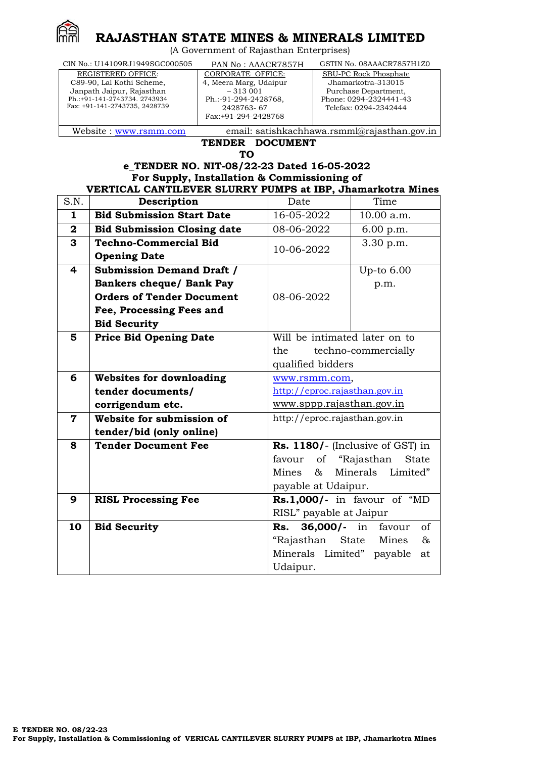

# **RAJASTHAN STATE MINES & MINERALS LIMITED**

(A Government of Rajasthan Enterprises)

 CIN No.: U14109RJ1949SGC000505 PAN No : AAACR7857H GSTIN No. 08AAACR7857H1Z0

| REGISTERED OFFICE:            |
|-------------------------------|
| C89-90, Lal Kothi Scheme,     |
| Janpath Jaipur, Rajasthan     |
| Ph.:+91-141-2743734. 2743934  |
| Fax: +91-141-2743735, 2428739 |
|                               |

CORPORATE OFFICE: 4, Meera Marg, Udaipur – 313 001 Ph.:-91-294-2428768, 2428763- 67 Fax:+91-294-2428768

SBU-PC Rock Phosphate Jhamarkotra-313015 Purchase Department, Phone: 0294-2324441-43

Telefax: 0294-2342444

Website : [www.rsmm.com](http://www.rsmm.com/) email: [satishkachhawa.rsmml@rajasthan.gov.in](mailto:satishkachhawa.rsmml@rajasthan.gov.in)

**TENDER DOCUMENT TO**

**e\_TENDER NO. NIT-08/22-23 Dated 16-05-2022 For Supply, Installation & Commissioning of** 

# **VERTICAL CANTILEVER SLURRY PUMPS at IBP, Jhamarkotra Mines**

| S.N.                    | Description                        | Date                          | Time                             |  |
|-------------------------|------------------------------------|-------------------------------|----------------------------------|--|
| $\mathbf{1}$            | <b>Bid Submission Start Date</b>   | 16-05-2022                    | 10.00 a.m.                       |  |
| $\mathbf{2}$            | <b>Bid Submission Closing date</b> | 08-06-2022                    | 6.00 p.m.                        |  |
| 3                       | <b>Techno-Commercial Bid</b>       | 10-06-2022                    | 3.30 p.m.                        |  |
|                         | <b>Opening Date</b>                |                               |                                  |  |
| $\overline{\mathbf{4}}$ | <b>Submission Demand Draft /</b>   |                               | Up-to 6.00                       |  |
|                         | <b>Bankers cheque/ Bank Pay</b>    |                               | p.m.                             |  |
|                         | <b>Orders of Tender Document</b>   | 08-06-2022                    |                                  |  |
|                         | Fee, Processing Fees and           |                               |                                  |  |
|                         | <b>Bid Security</b>                |                               |                                  |  |
| 5                       | <b>Price Bid Opening Date</b>      | Will be intimated later on to |                                  |  |
|                         |                                    | the<br>techno-commercially    |                                  |  |
|                         |                                    | qualified bidders             |                                  |  |
| 6                       | <b>Websites for downloading</b>    | www.rsmm.com,                 |                                  |  |
|                         | tender documents/                  | http://eproc.rajasthan.gov.in |                                  |  |
|                         | corrigendum etc.                   | www.sppp.rajasthan.gov.in     |                                  |  |
| $\mathbf 7$             | Website for submission of          | http://eproc.rajasthan.gov.in |                                  |  |
|                         | tender/bid (only online)           |                               |                                  |  |
| 8                       | <b>Tender Document Fee</b>         |                               | Rs. 1180/- (Inclusive of GST) in |  |
|                         |                                    | favour<br>of                  | "Rajasthan<br><b>State</b>       |  |
|                         |                                    | Mines<br>&                    | Minerals<br>Limited"             |  |
|                         |                                    | payable at Udaipur.           |                                  |  |
| 9                       | <b>RISL Processing Fee</b>         |                               | Rs.1,000/- in favour of "MD      |  |
|                         |                                    | RISL" payable at Jaipur       |                                  |  |
| 10                      | <b>Bid Security</b>                | $36,000/$ - in<br>Rs.         | favour<br>of                     |  |
|                         |                                    | "Rajasthan                    | Mines<br>$\&$<br>State           |  |
|                         |                                    | Minerals Limited" payable     | at                               |  |
|                         |                                    | Udaipur.                      |                                  |  |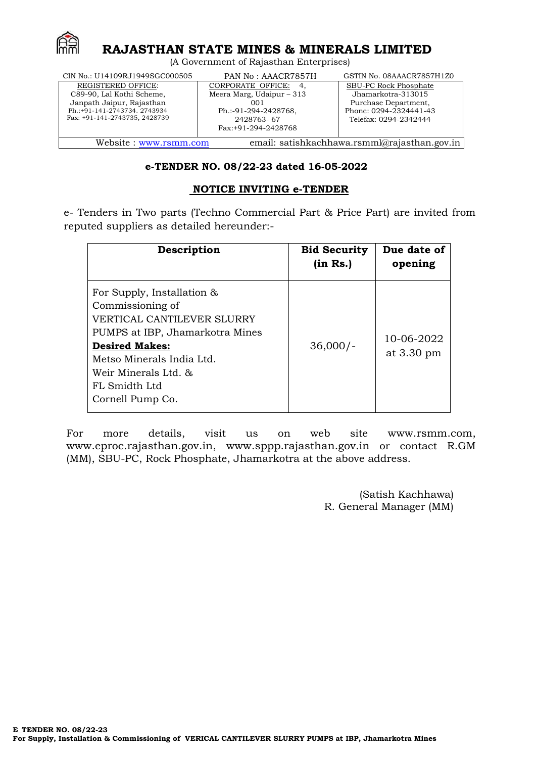

## **RAJASTHAN STATE MINES & MINERALS LIMITED**

(A Government of Rajasthan Enterprises)

| CIN No.: U14109RJ1949SGC000505                                                                                                                       | PAN No: AAACR7857H                                                                                                     | GSTIN No. 08AAACR7857H1Z0                                                                                              |
|------------------------------------------------------------------------------------------------------------------------------------------------------|------------------------------------------------------------------------------------------------------------------------|------------------------------------------------------------------------------------------------------------------------|
| <b>REGISTERED OFFICE:</b><br>C89-90, Lal Kothi Scheme,<br>Janpath Jaipur, Rajasthan<br>Ph.:+91-141-2743734. 2743934<br>Fax: +91-141-2743735, 2428739 | CORPORATE OFFICE: 4,<br>Meera Marg, Udaipur $-313$<br>001<br>Ph.:-91-294-2428768,<br>2428763-67<br>Fax:+91-294-2428768 | SBU-PC Rock Phosphate<br>Jhamarkotra-313015<br>Purchase Department,<br>Phone: 0294-2324441-43<br>Telefax: 0294-2342444 |
| email: satishkachhawa.rsmml@rajasthan.gov.in<br>Website: www.rsmm.com                                                                                |                                                                                                                        |                                                                                                                        |

## **e-TENDER NO. 08/22-23 dated 16-05-2022**

## **NOTICE INVITING e-TENDER**

e- Tenders in Two parts (Techno Commercial Part & Price Part) are invited from reputed suppliers as detailed hereunder:-

| Description                                                                                                                                                                                                                        | <b>Bid Security</b><br>(in Rs.) | Due date of<br>opening   |
|------------------------------------------------------------------------------------------------------------------------------------------------------------------------------------------------------------------------------------|---------------------------------|--------------------------|
| For Supply, Installation &<br>Commissioning of<br>VERTICAL CANTILEVER SLURRY<br>PUMPS at IBP, Jhamarkotra Mines<br><b>Desired Makes:</b><br>Metso Minerals India Ltd.<br>Weir Minerals Ltd. &<br>FL Smidth Ltd<br>Cornell Pump Co. | $36,000/-$                      | 10-06-2022<br>at 3.30 pm |

For more details, visit us on web site [www.rsmm.com](http://www.rsmm.com/), [www.eproc.rajasthan.gov.in](http://www.eproc.rajasthan.gov.in/), [www.sppp.rajasthan.gov.in](http://www.sppp.rajasthan.gov.in/) or contact R.GM (MM), SBU-PC, Rock Phosphate, Jhamarkotra at the above address.

> (Satish Kachhawa) R. General Manager (MM)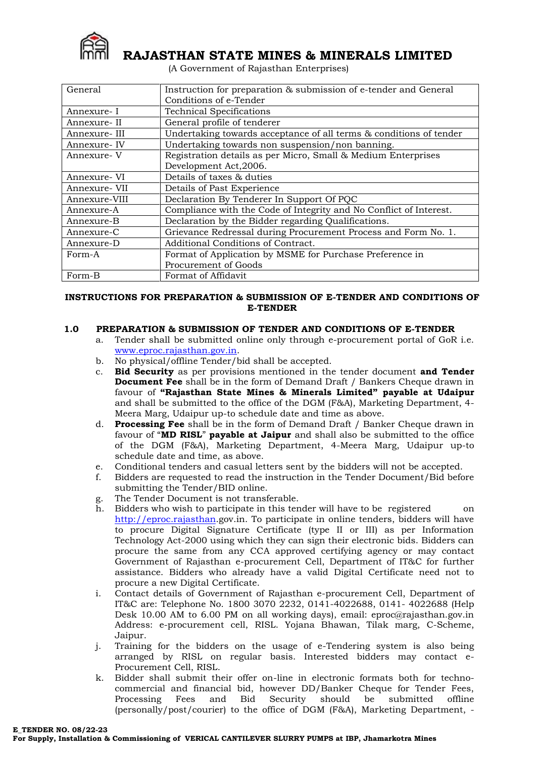

 **RAJASTHAN STATE MINES & MINERALS LIMITED**

(A Government of Rajasthan Enterprises)

| General                                                            | Instruction for preparation & submission of e-tender and General   |  |
|--------------------------------------------------------------------|--------------------------------------------------------------------|--|
|                                                                    | Conditions of e-Tender                                             |  |
| Annexure- I                                                        | <b>Technical Specifications</b>                                    |  |
| Annexure- II                                                       | General profile of tenderer                                        |  |
| Annexure-III                                                       | Undertaking towards acceptance of all terms & conditions of tender |  |
| Annexure- IV                                                       | Undertaking towards non suspension/non banning.                    |  |
| Annexure-V                                                         | Registration details as per Micro, Small & Medium Enterprises      |  |
|                                                                    | Development Act, 2006.                                             |  |
| Annexure- VI                                                       | Details of taxes & duties                                          |  |
| Annexure- VII                                                      | Details of Past Experience                                         |  |
| Annexure-VIII                                                      | Declaration By Tenderer In Support Of PQC                          |  |
| Annexure-A                                                         | Compliance with the Code of Integrity and No Conflict of Interest. |  |
| Annexure-B                                                         | Declaration by the Bidder regarding Qualifications.                |  |
| Annexure-C                                                         | Grievance Redressal during Procurement Process and Form No. 1.     |  |
| Additional Conditions of Contract.<br>Annexure-D                   |                                                                    |  |
| Format of Application by MSME for Purchase Preference in<br>Form-A |                                                                    |  |
|                                                                    | Procurement of Goods                                               |  |
| Form-B                                                             | Format of Affidavit                                                |  |

### **INSTRUCTIONS FOR PREPARATION & SUBMISSION OF E-TENDER AND CONDITIONS OF E-TENDER**

#### **1.0 PREPARATION & SUBMISSION OF TENDER AND CONDITIONS OF E-TENDER**

- a. Tender shall be submitted online only through e-procurement portal of GoR i.e. [www.eproc.rajasthan.gov.in.](http://www.eproc.rajasthan.gov.in/)
- b. No physical/offline Tender/bid shall be accepted.
- c. **Bid Security** as per provisions mentioned in the tender document **and Tender Document Fee** shall be in the form of Demand Draft / Bankers Cheque drawn in favour of **"Rajasthan State Mines & Minerals Limited" payable at Udaipur** and shall be submitted to the office of the DGM (F&A), Marketing Department, 4- Meera Marg, Udaipur up-to schedule date and time as above.
- d. **Processing Fee** shall be in the form of Demand Draft / Banker Cheque drawn in favour of "**MD RISL**" **payable at Jaipur** and shall also be submitted to the office of the DGM (F&A), Marketing Department, 4-Meera Marg, Udaipur up-to schedule date and time, as above.
- e. Conditional tenders and casual letters sent by the bidders will not be accepted.
- f. Bidders are requested to read the instruction in the Tender Document/Bid before submitting the Tender/BID online.
- g. The Tender Document is not transferable.
- h. Bidders who wish to participate in this tender will have to be registered on [http://eproc.rajasthan.](http://eproc.rajasthan/)gov.in. To participate in online tenders, bidders will have to procure Digital Signature Certificate (type II or III) as per Information Technology Act-2000 using which they can sign their electronic bids. Bidders can procure the same from any CCA approved certifying agency or may contact Government of Rajasthan e-procurement Cell, Department of IT&C for further assistance. Bidders who already have a valid Digital Certificate need not to procure a new Digital Certificate.
- i. Contact details of Government of Rajasthan e-procurement Cell, Department of IT&C are: Telephone No. 1800 3070 2232, 0141-4022688, 0141- 4022688 (Help Desk 10.00 AM to 6.00 PM on all working days), email: eproc@rajasthan.gov.in Address: e-procurement cell, RISL. Yojana Bhawan, Tilak marg, C-Scheme, Jaipur.
- j. Training for the bidders on the usage of e-Tendering system is also being arranged by RISL on regular basis. Interested bidders may contact e-Procurement Cell, RISL.
- k. Bidder shall submit their offer on-line in electronic formats both for technocommercial and financial bid, however DD/Banker Cheque for Tender Fees, Processing Fees and Bid Security should be submitted offline (personally/post/courier) to the office of DGM (F&A), Marketing Department, -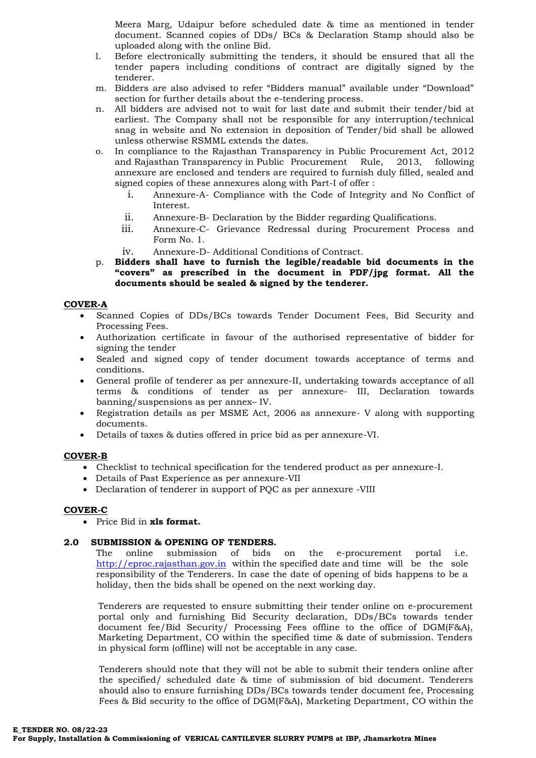Meera Marg, Udaipur before scheduled date & time as mentioned in tender document. Scanned copies of DDs/ BCs & Declaration Stamp should also be uploaded along with the online Bid.

- l. Before electronically submitting the tenders, it should be ensured that all the tender papers including conditions of contract are digitally signed by the tenderer.
- m. Bidders are also advised to refer "Bidders manual" available under "Download" section for further details about the e-tendering process.
- n. All bidders are advised not to wait for last date and submit their tender/bid at earliest. The Company shall not be responsible for any interruption/technical snag in website and No extension in deposition of Tender/bid shall be allowed unless otherwise RSMML extends the dates.
- o. In compliance to the Rajasthan Transparency in Public Procurement Act, 2012 and Rajasthan Transparency in Public Procurement Rule, 2013, following annexure are enclosed and tenders are required to furnish duly filled, sealed and signed copies of these annexures along with Part-I of offer :
	- i. Annexure-A- Compliance with the Code of Integrity and No Conflict of Interest.
	- ii. Annexure-B- Declaration by the Bidder regarding Qualifications.
	- iii. Annexure-C- Grievance Redressal during Procurement Process and Form No. 1.
	- iv. Annexure-D- Additional Conditions of Contract.
- p. **Bidders shall have to furnish the legible/readable bid documents in the "covers" as prescribed in the document in PDF/jpg format. All the documents should be sealed & signed by the tenderer.**

#### **COVER-A**

- Scanned Copies of DDs/BCs towards Tender Document Fees, Bid Security and Processing Fees.
- Authorization certificate in favour of the authorised representative of bidder for signing the tender
- Sealed and signed copy of tender document towards acceptance of terms and conditions.
- General profile of tenderer as per annexure-II, undertaking towards acceptance of all terms & conditions of tender as per annexure- III, Declaration towards banning/suspensions as per annex– IV.
- Registration details as per MSME Act, 2006 as annexure- V along with supporting documents.
- Details of taxes & duties offered in price bid as per annexure-VI.

## **COVER-B**

- Checklist to technical specification for the tendered product as per annexure-I.
- Details of Past Experience as per annexure-VII
- Declaration of tenderer in support of PQC as per annexure -VIII

#### **COVER-C**

Price Bid in **xls format.**

## **2.0 SUBMISSION & OPENING OF TENDERS.**

The online submission of bids on the e-procurement portal i.e. [http://eproc.rajasthan.gov.in](http://eproc.rajasthan.gov.in/) within the specified date and time will be the sole responsibility of the Tenderers. In case the date of opening of bids happens to be a holiday, then the bids shall be opened on the next working day.

Tenderers are requested to ensure submitting their tender online on e-procurement portal only and furnishing Bid Security declaration, DDs/BCs towards tender document fee/Bid Security/ Processing Fees offline to the office of DGM(F&A), Marketing Department, CO within the specified time & date of submission. Tenders in physical form (offline) will not be acceptable in any case.

Tenderers should note that they will not be able to submit their tenders online after the specified/ scheduled date & time of submission of bid document. Tenderers should also to ensure furnishing DDs/BCs towards tender document fee, Processing Fees & Bid security to the office of DGM(F&A), Marketing Department, CO within the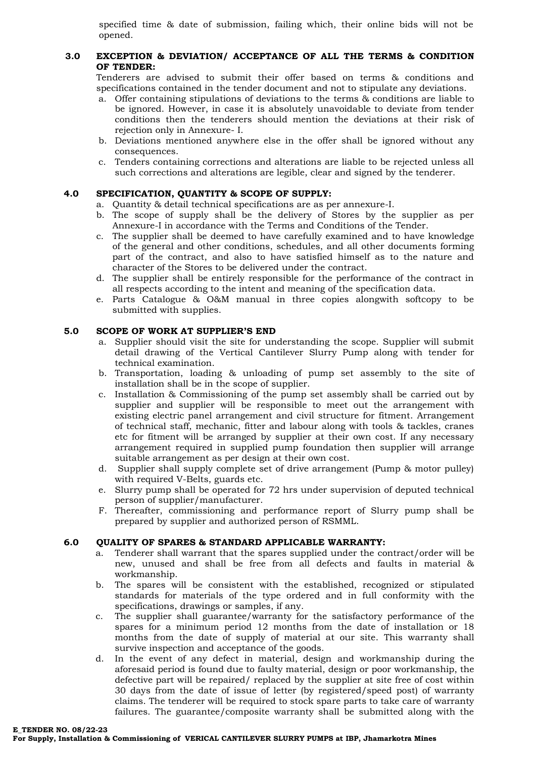specified time & date of submission, failing which, their online bids will not be opened.

## **3.0 EXCEPTION & DEVIATION/ ACCEPTANCE OF ALL THE TERMS & CONDITION OF TENDER:**

Tenderers are advised to submit their offer based on terms & conditions and specifications contained in the tender document and not to stipulate any deviations.

- a. Offer containing stipulations of deviations to the terms & conditions are liable to be ignored. However, in case it is absolutely unavoidable to deviate from tender conditions then the tenderers should mention the deviations at their risk of rejection only in Annexure- I.
- b. Deviations mentioned anywhere else in the offer shall be ignored without any consequences.
- c. Tenders containing corrections and alterations are liable to be rejected unless all such corrections and alterations are legible, clear and signed by the tenderer.

## **4.0 SPECIFICATION, QUANTITY & SCOPE OF SUPPLY:**

- a. Quantity & detail technical specifications are as per annexure-I.
- b. The scope of supply shall be the delivery of Stores by the supplier as per Annexure-I in accordance with the Terms and Conditions of the Tender.
- c. The supplier shall be deemed to have carefully examined and to have knowledge of the general and other conditions, schedules, and all other documents forming part of the contract, and also to have satisfied himself as to the nature and character of the Stores to be delivered under the contract.
- d. The supplier shall be entirely responsible for the performance of the contract in all respects according to the intent and meaning of the specification data.
- e. Parts Catalogue & O&M manual in three copies alongwith softcopy to be submitted with supplies.

#### **5.0 SCOPE OF WORK AT SUPPLIER'S END**

- a. Supplier should visit the site for understanding the scope. Supplier will submit detail drawing of the Vertical Cantilever Slurry Pump along with tender for technical examination.
- b. Transportation, loading & unloading of pump set assembly to the site of installation shall be in the scope of supplier.
- c. Installation & Commissioning of the pump set assembly shall be carried out by supplier and supplier will be responsible to meet out the arrangement with existing electric panel arrangement and civil structure for fitment. Arrangement of technical staff, mechanic, fitter and labour along with tools & tackles, cranes etc for fitment will be arranged by supplier at their own cost. If any necessary arrangement required in supplied pump foundation then supplier will arrange suitable arrangement as per design at their own cost.
- d. Supplier shall supply complete set of drive arrangement (Pump & motor pulley) with required V-Belts, guards etc.
- e. Slurry pump shall be operated for 72 hrs under supervision of deputed technical person of supplier/manufacturer.
- F. Thereafter, commissioning and performance report of Slurry pump shall be prepared by supplier and authorized person of RSMML.

## **6.0 QUALITY OF SPARES & STANDARD APPLICABLE WARRANTY:**

- a. Tenderer shall warrant that the spares supplied under the contract/order will be new, unused and shall be free from all defects and faults in material & workmanship.
- b. The spares will be consistent with the established, recognized or stipulated standards for materials of the type ordered and in full conformity with the specifications, drawings or samples, if any.
- c. The supplier shall guarantee/warranty for the satisfactory performance of the spares for a minimum period 12 months from the date of installation or 18 months from the date of supply of material at our site. This warranty shall survive inspection and acceptance of the goods.
- d. In the event of any defect in material, design and workmanship during the aforesaid period is found due to faulty material, design or poor workmanship, the defective part will be repaired/ replaced by the supplier at site free of cost within 30 days from the date of issue of letter (by registered/speed post) of warranty claims. The tenderer will be required to stock spare parts to take care of warranty failures. The guarantee/composite warranty shall be submitted along with the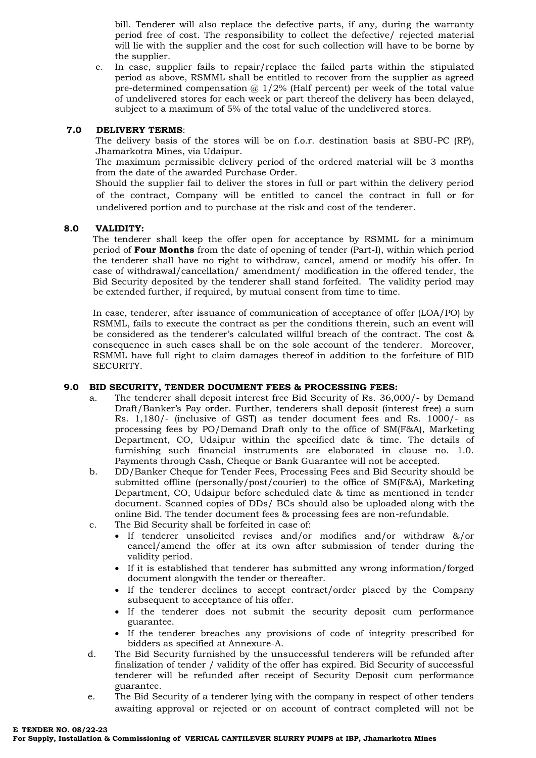bill. Tenderer will also replace the defective parts, if any, during the warranty period free of cost. The responsibility to collect the defective/ rejected material will lie with the supplier and the cost for such collection will have to be borne by the supplier.

e. In case, supplier fails to repair/replace the failed parts within the stipulated period as above, RSMML shall be entitled to recover from the supplier as agreed pre-determined compensation  $\omega$  1/2% (Half percent) per week of the total value of undelivered stores for each week or part thereof the delivery has been delayed, subject to a maximum of 5% of the total value of the undelivered stores.

## **7.0 DELIVERY TERMS**:

The delivery basis of the stores will be on f.o.r. destination basis at SBU-PC (RP), Jhamarkotra Mines, via Udaipur.

The maximum permissible delivery period of the ordered material will be 3 months from the date of the awarded Purchase Order.

Should the supplier fail to deliver the stores in full or part within the delivery period of the contract, Company will be entitled to cancel the contract in full or for undelivered portion and to purchase at the risk and cost of the tenderer.

#### **8.0 VALIDITY:**

The tenderer shall keep the offer open for acceptance by RSMML for a minimum period of **Four Months** from the date of opening of tender (Part-I), within which period the tenderer shall have no right to withdraw, cancel, amend or modify his offer. In case of withdrawal/cancellation/ amendment/ modification in the offered tender, the Bid Security deposited by the tenderer shall stand forfeited. The validity period may be extended further, if required, by mutual consent from time to time.

In case, tenderer, after issuance of communication of acceptance of offer (LOA/PO) by RSMML, fails to execute the contract as per the conditions therein, such an event will be considered as the tenderer's calculated willful breach of the contract. The cost & consequence in such cases shall be on the sole account of the tenderer. Moreover, RSMML have full right to claim damages thereof in addition to the forfeiture of BID SECURITY.

#### **9.0 BID SECURITY, TENDER DOCUMENT FEES & PROCESSING FEES:**

- a. The tenderer shall deposit interest free Bid Security of Rs. 36,000/- by Demand Draft/Banker's Pay order. Further, tenderers shall deposit (interest free) a sum Rs. 1,180/- (inclusive of GST) as tender document fees and Rs. 1000/- as processing fees by PO/Demand Draft only to the office of SM(F&A), Marketing Department, CO, Udaipur within the specified date & time. The details of furnishing such financial instruments are elaborated in clause no. 1.0. Payments through Cash, Cheque or Bank Guarantee will not be accepted.
- b. DD/Banker Cheque for Tender Fees, Processing Fees and Bid Security should be submitted offline (personally/post/courier) to the office of SM(F&A), Marketing Department, CO, Udaipur before scheduled date & time as mentioned in tender document. Scanned copies of DDs/ BCs should also be uploaded along with the online Bid. The tender document fees & processing fees are non-refundable.
- c. The Bid Security shall be forfeited in case of:
	- If tenderer unsolicited revises and/or modifies and/or withdraw &/or cancel/amend the offer at its own after submission of tender during the validity period.
	- If it is established that tenderer has submitted any wrong information/forged document alongwith the tender or thereafter.
	- If the tenderer declines to accept contract/order placed by the Company subsequent to acceptance of his offer.
	- If the tenderer does not submit the security deposit cum performance guarantee.
	- If the tenderer breaches any provisions of code of integrity prescribed for bidders as specified at Annexure-A.
- d. The Bid Security furnished by the unsuccessful tenderers will be refunded after finalization of tender / validity of the offer has expired. Bid Security of successful tenderer will be refunded after receipt of Security Deposit cum performance guarantee.
- e. The Bid Security of a tenderer lying with the company in respect of other tenders awaiting approval or rejected or on account of contract completed will not be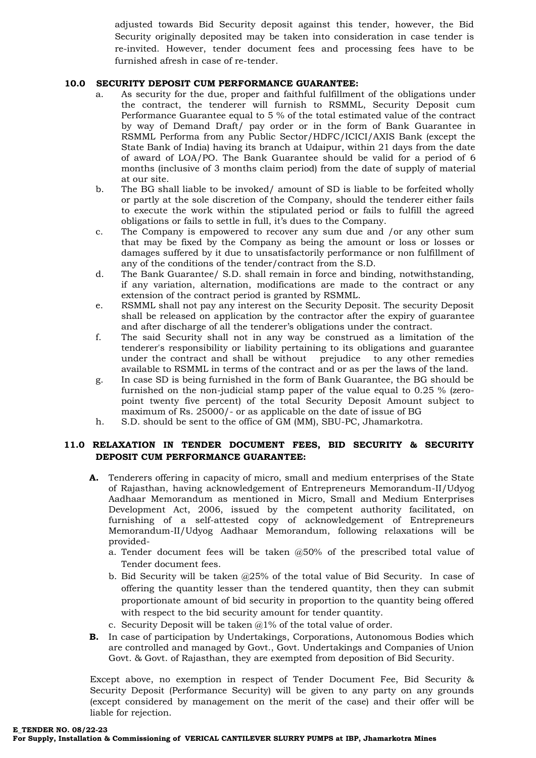adjusted towards Bid Security deposit against this tender, however, the Bid Security originally deposited may be taken into consideration in case tender is re-invited. However, tender document fees and processing fees have to be furnished afresh in case of re-tender.

### **10.0 SECURITY DEPOSIT CUM PERFORMANCE GUARANTEE:**

- a. As security for the due, proper and faithful fulfillment of the obligations under the contract, the tenderer will furnish to RSMML, Security Deposit cum Performance Guarantee equal to 5 % of the total estimated value of the contract by way of Demand Draft/ pay order or in the form of Bank Guarantee in RSMML Performa from any Public Sector/HDFC/ICICI/AXIS Bank (except the State Bank of India) having its branch at Udaipur, within 21 days from the date of award of LOA/PO. The Bank Guarantee should be valid for a period of 6 months (inclusive of 3 months claim period) from the date of supply of material at our site.
- b. The BG shall liable to be invoked/ amount of SD is liable to be forfeited wholly or partly at the sole discretion of the Company, should the tenderer either fails to execute the work within the stipulated period or fails to fulfill the agreed obligations or fails to settle in full, it's dues to the Company.
- c. The Company is empowered to recover any sum due and /or any other sum that may be fixed by the Company as being the amount or loss or losses or damages suffered by it due to unsatisfactorily performance or non fulfillment of any of the conditions of the tender/contract from the S.D.
- d. The Bank Guarantee/ S.D. shall remain in force and binding, notwithstanding, if any variation, alternation, modifications are made to the contract or any extension of the contract period is granted by RSMML.
- e. RSMML shall not pay any interest on the Security Deposit. The security Deposit shall be released on application by the contractor after the expiry of guarantee and after discharge of all the tenderer's obligations under the contract.
- f. The said Security shall not in any way be construed as a limitation of the tenderer's responsibility or liability pertaining to its obligations and guarantee under the contract and shall be without prejudice to any other remedies available to RSMML in terms of the contract and or as per the laws of the land.
- g. In case SD is being furnished in the form of Bank Guarantee, the BG should be furnished on the non-judicial stamp paper of the value equal to 0.25 % (zeropoint twenty five percent) of the total Security Deposit Amount subject to maximum of Rs. 25000/- or as applicable on the date of issue of BG
- h. S.D. should be sent to the office of GM (MM), SBU-PC, Jhamarkotra.

## **11.0 RELAXATION IN TENDER DOCUMENT FEES, BID SECURITY & SECURITY DEPOSIT CUM PERFORMANCE GUARANTEE:**

- **A.** Tenderers offering in capacity of micro, small and medium enterprises of the State of Rajasthan, having acknowledgement of Entrepreneurs Memorandum-II/Udyog Aadhaar Memorandum as mentioned in Micro, Small and Medium Enterprises Development Act, 2006, issued by the competent authority facilitated, on furnishing of a self-attested copy of acknowledgement of Entrepreneurs Memorandum-II/Udyog Aadhaar Memorandum, following relaxations will be provided
	- a. Tender document fees will be taken @50% of the prescribed total value of Tender document fees.
	- b. Bid Security will be taken @25% of the total value of Bid Security. In case of offering the quantity lesser than the tendered quantity, then they can submit proportionate amount of bid security in proportion to the quantity being offered with respect to the bid security amount for tender quantity.
	- c. Security Deposit will be taken  $@1\%$  of the total value of order.
- **B.** In case of participation by Undertakings, Corporations, Autonomous Bodies which are controlled and managed by Govt., Govt. Undertakings and Companies of Union Govt. & Govt. of Rajasthan, they are exempted from deposition of Bid Security.

Except above, no exemption in respect of Tender Document Fee, Bid Security & Security Deposit (Performance Security) will be given to any party on any grounds (except considered by management on the merit of the case) and their offer will be liable for rejection.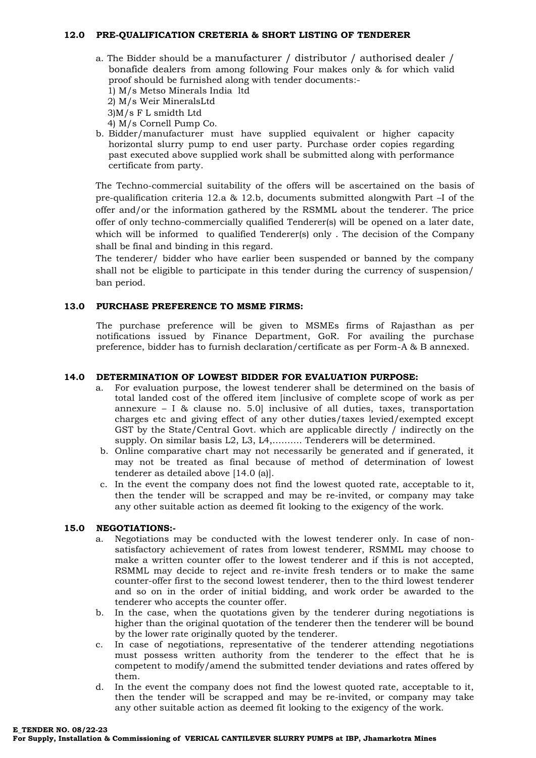#### **12.0 PRE-QUALIFICATION CRETERIA & SHORT LISTING OF TENDERER**

- a. The Bidder should be a manufacturer / distributor / authorised dealer / bonafide dealers from among following Four makes only & for which valid proof should be furnished along with tender documents:-
	- 1) M/s Metso Minerals India ltd
	- 2) M/s Weir MineralsLtd
	- 3)M/s F L smidth Ltd
	- 4) M/s Cornell Pump Co.
- b. Bidder/manufacturer must have supplied equivalent or higher capacity horizontal slurry pump to end user party. Purchase order copies regarding past executed above supplied work shall be submitted along with performance certificate from party.

The Techno-commercial suitability of the offers will be ascertained on the basis of pre-qualification criteria 12.a & 12.b, documents submitted alongwith Part –I of the offer and/or the information gathered by the RSMML about the tenderer. The price offer of only techno-commercially qualified Tenderer(s) will be opened on a later date, which will be informed to qualified Tenderer(s) only . The decision of the Company shall be final and binding in this regard.

The tenderer/ bidder who have earlier been suspended or banned by the company shall not be eligible to participate in this tender during the currency of suspension/ ban period.

#### **13.0 PURCHASE PREFERENCE TO MSME FIRMS:**

The purchase preference will be given to MSMEs firms of Rajasthan as per notifications issued by Finance Department, GoR. For availing the purchase preference, bidder has to furnish declaration/certificate as per Form-A & B annexed.

#### **14.0 DETERMINATION OF LOWEST BIDDER FOR EVALUATION PURPOSE:**

- a. For evaluation purpose, the lowest tenderer shall be determined on the basis of total landed cost of the offered item [inclusive of complete scope of work as per annexure – I  $\&$  clause no. 5.0] inclusive of all duties, taxes, transportation charges etc and giving effect of any other duties/taxes levied/exempted except GST by the State/Central Govt. which are applicable directly / indirectly on the supply. On similar basis L2, L3, L4,………. Tenderers will be determined.
- b. Online comparative chart may not necessarily be generated and if generated, it may not be treated as final because of method of determination of lowest tenderer as detailed above [14.0 (a)].
- c. In the event the company does not find the lowest quoted rate, acceptable to it, then the tender will be scrapped and may be re-invited, or company may take any other suitable action as deemed fit looking to the exigency of the work.

#### **15.0 NEGOTIATIONS:-**

- a. Negotiations may be conducted with the lowest tenderer only. In case of nonsatisfactory achievement of rates from lowest tenderer, RSMML may choose to make a written counter offer to the lowest tenderer and if this is not accepted, RSMML may decide to reject and re-invite fresh tenders or to make the same counter-offer first to the second lowest tenderer, then to the third lowest tenderer and so on in the order of initial bidding, and work order be awarded to the tenderer who accepts the counter offer.
- b. In the case, when the quotations given by the tenderer during negotiations is higher than the original quotation of the tenderer then the tenderer will be bound by the lower rate originally quoted by the tenderer.
- c. In case of negotiations, representative of the tenderer attending negotiations must possess written authority from the tenderer to the effect that he is competent to modify/amend the submitted tender deviations and rates offered by them.
- d. In the event the company does not find the lowest quoted rate, acceptable to it, then the tender will be scrapped and may be re-invited, or company may take any other suitable action as deemed fit looking to the exigency of the work.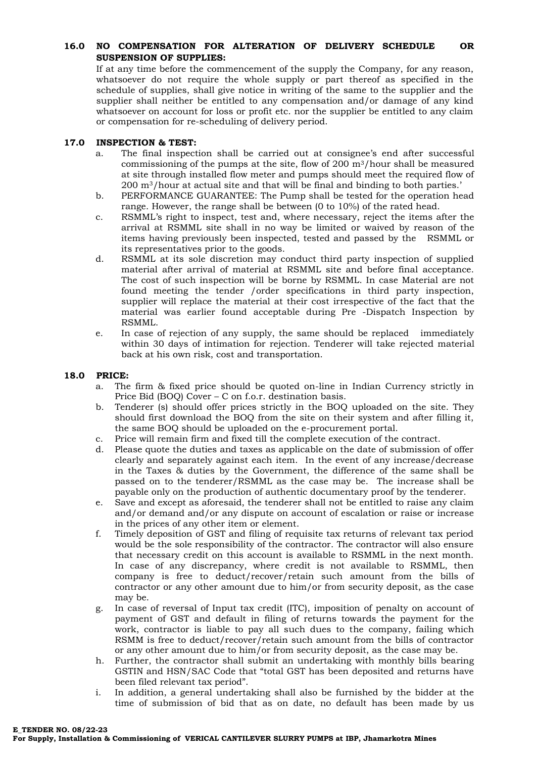### **16.0 NO COMPENSATION FOR ALTERATION OF DELIVERY SCHEDULE OR SUSPENSION OF SUPPLIES:**

If at any time before the commencement of the supply the Company, for any reason, whatsoever do not require the whole supply or part thereof as specified in the schedule of supplies, shall give notice in writing of the same to the supplier and the supplier shall neither be entitled to any compensation and/or damage of any kind whatsoever on account for loss or profit etc. nor the supplier be entitled to any claim or compensation for re-scheduling of delivery period.

## **17.0 INSPECTION & TEST:**

- a. The final inspection shall be carried out at consignee's end after successful commissioning of the pumps at the site, flow of  $200 \text{ m}^3/\text{hour}$  shall be measured at site through installed flow meter and pumps should meet the required flow of 200 m3/hour at actual site and that will be final and binding to both parties.'
- b. PERFORMANCE GUARANTEE: The Pump shall be tested for the operation head range. However, the range shall be between (0 to 10%) of the rated head.
- c. RSMML's right to inspect, test and, where necessary, reject the items after the arrival at RSMML site shall in no way be limited or waived by reason of the items having previously been inspected, tested and passed by the RSMML or its representatives prior to the goods.
- d. RSMML at its sole discretion may conduct third party inspection of supplied material after arrival of material at RSMML site and before final acceptance. The cost of such inspection will be borne by RSMML. In case Material are not found meeting the tender /order specifications in third party inspection, supplier will replace the material at their cost irrespective of the fact that the material was earlier found acceptable during Pre -Dispatch Inspection by RSMML.
- e. In case of rejection of any supply, the same should be replaced immediately within 30 days of intimation for rejection. Tenderer will take rejected material back at his own risk, cost and transportation.

#### **18.0 PRICE:**

- a. The firm & fixed price should be quoted on-line in Indian Currency strictly in Price Bid (BOQ) Cover – C on f.o.r. destination basis.
- b. Tenderer (s) should offer prices strictly in the BOQ uploaded on the site. They should first download the BOQ from the site on their system and after filling it, the same BOQ should be uploaded on the e-procurement portal.
- c. Price will remain firm and fixed till the complete execution of the contract.
- d. Please quote the duties and taxes as applicable on the date of submission of offer clearly and separately against each item. In the event of any increase/decrease in the Taxes & duties by the Government, the difference of the same shall be passed on to the tenderer/RSMML as the case may be. The increase shall be payable only on the production of authentic documentary proof by the tenderer.
- e. Save and except as aforesaid, the tenderer shall not be entitled to raise any claim and/or demand and/or any dispute on account of escalation or raise or increase in the prices of any other item or element.
- f. Timely deposition of GST and filing of requisite tax returns of relevant tax period would be the sole responsibility of the contractor. The contractor will also ensure that necessary credit on this account is available to RSMML in the next month. In case of any discrepancy, where credit is not available to RSMML, then company is free to deduct/recover/retain such amount from the bills of contractor or any other amount due to him/or from security deposit, as the case may be.
- g. In case of reversal of Input tax credit (ITC), imposition of penalty on account of payment of GST and default in filing of returns towards the payment for the work, contractor is liable to pay all such dues to the company, failing which RSMM is free to deduct/recover/retain such amount from the bills of contractor or any other amount due to him/or from security deposit, as the case may be.
- h. Further, the contractor shall submit an undertaking with monthly bills bearing GSTIN and HSN/SAC Code that "total GST has been deposited and returns have been filed relevant tax period".
- i. In addition, a general undertaking shall also be furnished by the bidder at the time of submission of bid that as on date, no default has been made by us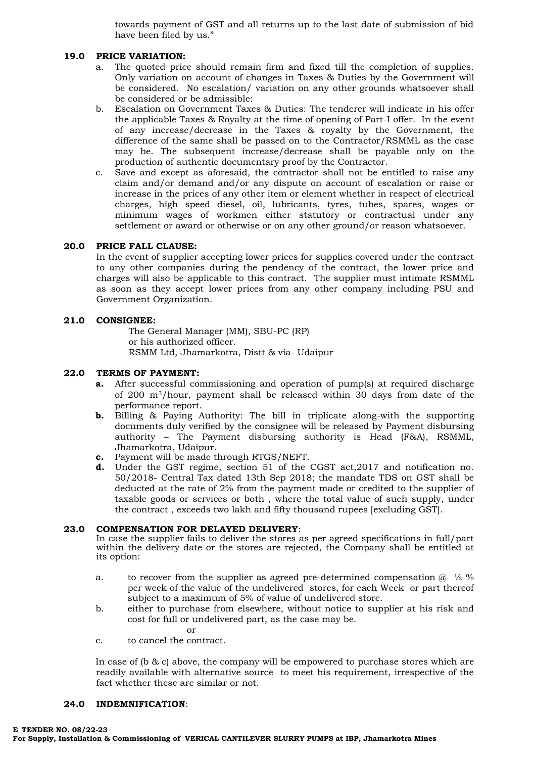towards payment of GST and all returns up to the last date of submission of bid have been filed by us."

#### **19.0 PRICE VARIATION:**

- a. The quoted price should remain firm and fixed till the completion of supplies. Only variation on account of changes in Taxes & Duties by the Government will be considered. No escalation/ variation on any other grounds whatsoever shall be considered or be admissible:
- b. Escalation on Government Taxes & Duties: The tenderer will indicate in his offer the applicable Taxes & Royalty at the time of opening of Part-I offer. In the event of any increase/decrease in the Taxes & royalty by the Government, the difference of the same shall be passed on to the Contractor/RSMML as the case may be. The subsequent increase/decrease shall be payable only on the production of authentic documentary proof by the Contractor.
- c. Save and except as aforesaid, the contractor shall not be entitled to raise any claim and/or demand and/or any dispute on account of escalation or raise or increase in the prices of any other item or element whether in respect of electrical charges, high speed diesel, oil, lubricants, tyres, tubes, spares, wages or minimum wages of workmen either statutory or contractual under any settlement or award or otherwise or on any other ground/or reason whatsoever.

#### **20.0 PRICE FALL CLAUSE:**

In the event of supplier accepting lower prices for supplies covered under the contract to any other companies during the pendency of the contract, the lower price and charges will also be applicable to this contract. The supplier must intimate RSMML as soon as they accept lower prices from any other company including PSU and Government Organization.

#### **21.0 CONSIGNEE:**

The General Manager (MM), SBU-PC (RP) or his authorized officer. RSMM Ltd, Jhamarkotra, Distt & via- Udaipur

#### **22.0 TERMS OF PAYMENT:**

- **a.** After successful commissioning and operation of pump(s) at required discharge of 200 m3/hour, payment shall be released within 30 days from date of the performance report.
- **b.** Billing & Paying Authority: The bill in triplicate along-with the supporting documents duly verified by the consignee will be released by Payment disbursing authority – The Payment disbursing authority is Head (F&A), RSMML, Jhamarkotra, Udaipur.
- **c.** Payment will be made through RTGS/NEFT.
- **d.** Under the GST regime, section 51 of the CGST act,2017 and notification no. 50/2018- Central Tax dated 13th Sep 2018; the mandate TDS on GST shall be deducted at the rate of 2% from the payment made or credited to the supplier of taxable goods or services or both , where the total value of such supply, under the contract , exceeds two lakh and fifty thousand rupees [excluding GST].

## **23.0 COMPENSATION FOR DELAYED DELIVERY**:

In case the supplier fails to deliver the stores as per agreed specifications in full/part within the delivery date or the stores are rejected, the Company shall be entitled at its option:

- a. to recover from the supplier as agreed pre-determined compensation  $\omega \sim 2\%$ per week of the value of the undelivered stores, for each Week or part thereof subject to a maximum of 5% of value of undelivered store.
- b. either to purchase from elsewhere, without notice to supplier at his risk and cost for full or undelivered part, as the case may be.

or

c. to cancel the contract.

In case of (b & c) above, the company will be empowered to purchase stores which are readily available with alternative source to meet his requirement, irrespective of the fact whether these are similar or not.

#### **24.0 INDEMNIFICATION**: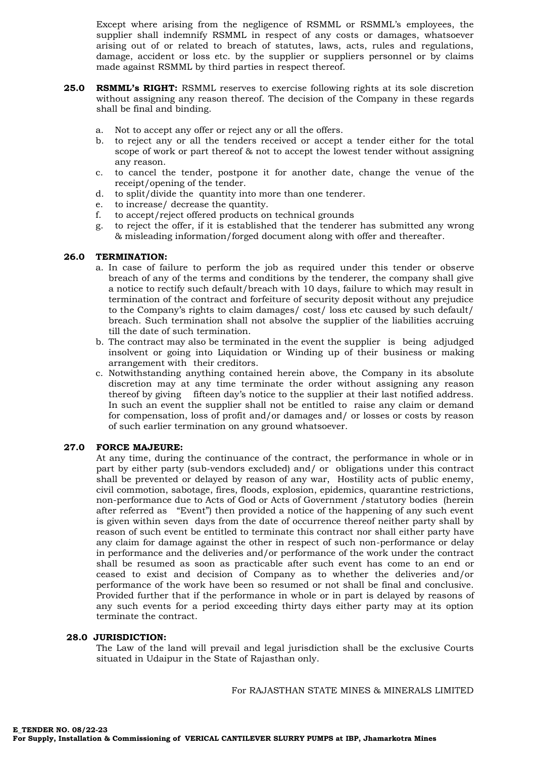Except where arising from the negligence of RSMML or RSMML's employees, the supplier shall indemnify RSMML in respect of any costs or damages, whatsoever arising out of or related to breach of statutes, laws, acts, rules and regulations, damage, accident or loss etc. by the supplier or suppliers personnel or by claims made against RSMML by third parties in respect thereof.

- **25.0 RSMML's RIGHT:** RSMML reserves to exercise following rights at its sole discretion without assigning any reason thereof. The decision of the Company in these regards shall be final and binding.
	- a. Not to accept any offer or reject any or all the offers.
	- b. to reject any or all the tenders received or accept a tender either for the total scope of work or part thereof & not to accept the lowest tender without assigning any reason.
	- c. to cancel the tender, postpone it for another date, change the venue of the receipt/opening of the tender.
	- d. to split/divide the quantity into more than one tenderer.
	- e. to increase/ decrease the quantity.
	- f. to accept/reject offered products on technical grounds
	- g. to reject the offer, if it is established that the tenderer has submitted any wrong & misleading information/forged document along with offer and thereafter.

#### **26.0 TERMINATION:**

- a. In case of failure to perform the job as required under this tender or observe breach of any of the terms and conditions by the tenderer, the company shall give a notice to rectify such default/breach with 10 days, failure to which may result in termination of the contract and forfeiture of security deposit without any prejudice to the Company's rights to claim damages/ cost/ loss etc caused by such default/ breach. Such termination shall not absolve the supplier of the liabilities accruing till the date of such termination.
- b. The contract may also be terminated in the event the supplier is being adjudged insolvent or going into Liquidation or Winding up of their business or making arrangement with their creditors.
- c. Notwithstanding anything contained herein above, the Company in its absolute discretion may at any time terminate the order without assigning any reason thereof by giving fifteen day's notice to the supplier at their last notified address. In such an event the supplier shall not be entitled to raise any claim or demand for compensation, loss of profit and/or damages and/ or losses or costs by reason of such earlier termination on any ground whatsoever.

## **27.0 FORCE MAJEURE:**

At any time, during the continuance of the contract, the performance in whole or in part by either party (sub-vendors excluded) and/ or obligations under this contract shall be prevented or delayed by reason of any war, Hostility acts of public enemy, civil commotion, sabotage, fires, floods, explosion, epidemics, quarantine restrictions, non-performance due to Acts of God or Acts of Government /statutory bodies (herein after referred as "Event") then provided a notice of the happening of any such event is given within seven days from the date of occurrence thereof neither party shall by reason of such event be entitled to terminate this contract nor shall either party have any claim for damage against the other in respect of such non-performance or delay in performance and the deliveries and/or performance of the work under the contract shall be resumed as soon as practicable after such event has come to an end or ceased to exist and decision of Company as to whether the deliveries and/or performance of the work have been so resumed or not shall be final and conclusive. Provided further that if the performance in whole or in part is delayed by reasons of any such events for a period exceeding thirty days either party may at its option terminate the contract.

#### **28.0 JURISDICTION:**

The Law of the land will prevail and legal jurisdiction shall be the exclusive Courts situated in Udaipur in the State of Rajasthan only.

For RAJASTHAN STATE MINES & MINERALS LIMITED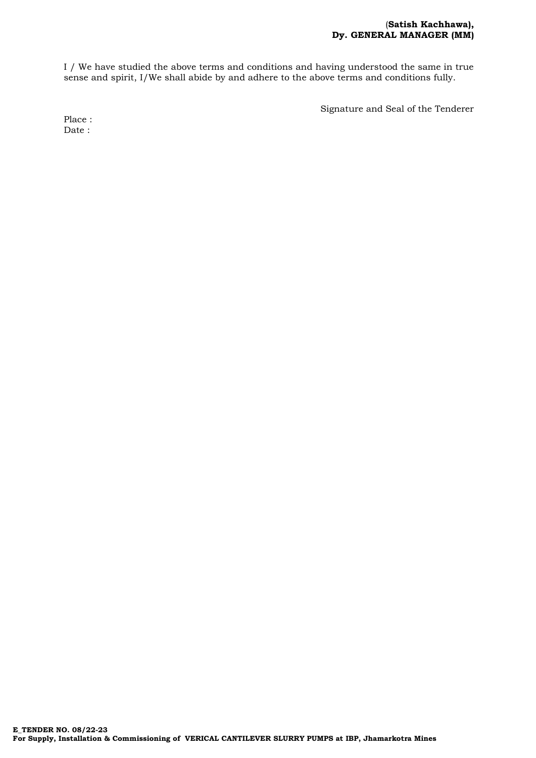I / We have studied the above terms and conditions and having understood the same in true sense and spirit, I/We shall abide by and adhere to the above terms and conditions fully.

Signature and Seal of the Tenderer

Place : Date :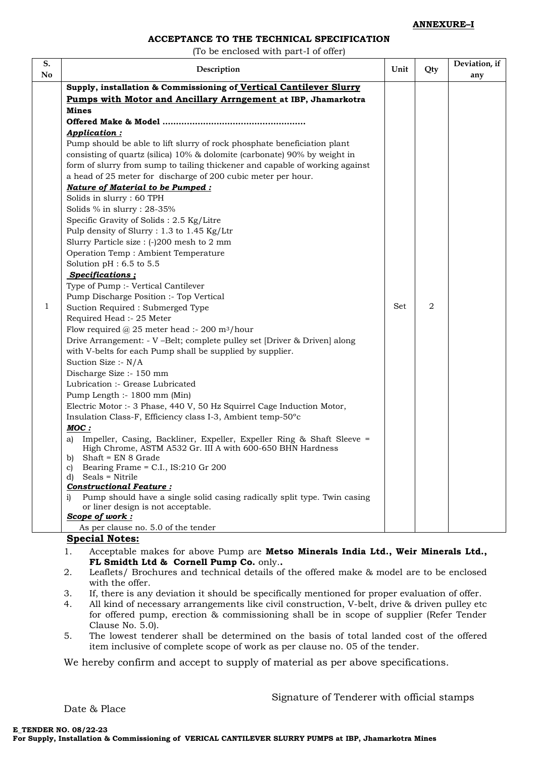#### **ANNEXURE–I**

## **ACCEPTANCE TO THE TECHNICAL SPECIFICATION**

(To be enclosed with part-I of offer)

| Description                                                                    | Unit | Qty | Deviation, if<br>any |
|--------------------------------------------------------------------------------|------|-----|----------------------|
| Supply, installation & Commissioning of Vertical Cantilever Slurry             |      |     |                      |
| Pumps with Motor and Ancillary Arrngement at IBP, Jhamarkotra                  |      |     |                      |
| <b>Mines</b>                                                                   |      |     |                      |
|                                                                                |      |     |                      |
| Application:                                                                   |      |     |                      |
| Pump should be able to lift slurry of rock phosphate beneficiation plant       |      |     |                      |
| consisting of quartz (silica) 10% & dolomite (carbonate) 90% by weight in      |      |     |                      |
| form of slurry from sump to tailing thickener and capable of working against   |      |     |                      |
| a head of 25 meter for discharge of 200 cubic meter per hour.                  |      |     |                      |
| Nature of Material to be Pumped :                                              |      |     |                      |
| Solids in slurry : 60 TPH                                                      |      |     |                      |
| Solids % in slurry : 28-35%                                                    |      |     |                      |
| Specific Gravity of Solids: 2.5 Kg/Litre                                       |      |     |                      |
| Pulp density of Slurry : 1.3 to 1.45 Kg/Ltr                                    |      |     |                      |
| Slurry Particle size : (-)200 mesh to 2 mm                                     |      |     |                      |
| Operation Temp : Ambient Temperature                                           |      |     |                      |
| Solution pH : 6.5 to 5.5                                                       |      |     |                      |
| Specifications;                                                                |      |     |                      |
| Type of Pump :- Vertical Cantilever                                            |      |     |                      |
| Pump Discharge Position :- Top Vertical                                        |      |     |                      |
| Suction Required : Submerged Type                                              | Set  | 2   |                      |
| Required Head :- 25 Meter                                                      |      |     |                      |
| Flow required $@$ 25 meter head :- 200 m <sup>3</sup> /hour                    |      |     |                      |
| Drive Arrangement: - V -Belt; complete pulley set [Driver & Driven] along      |      |     |                      |
| with V-belts for each Pump shall be supplied by supplier.                      |      |     |                      |
| Suction Size :- N/A                                                            |      |     |                      |
| Discharge Size :- 150 mm                                                       |      |     |                      |
| Lubrication :- Grease Lubricated                                               |      |     |                      |
| Pump Length :- 1800 mm (Min)                                                   |      |     |                      |
| Electric Motor :- 3 Phase, 440 V, 50 Hz Squirrel Cage Induction Motor,         |      |     |                      |
| Insulation Class-F, Efficiency class I-3, Ambient temp-50°c                    |      |     |                      |
| MOC:                                                                           |      |     |                      |
| Impeller, Casing, Backliner, Expeller, Expeller Ring & Shaft Sleeve =<br>a)    |      |     |                      |
| High Chrome, ASTM A532 Gr. III A with 600-650 BHN Hardness                     |      |     |                      |
| b) Shaft = $EN 8$ Grade<br>Bearing Frame = $C.I., IS:210$ Gr 200<br>C)         |      |     |                      |
| Seals = Nitrile<br>d)                                                          |      |     |                      |
| <b>Constructional Feature:</b>                                                 |      |     |                      |
| Pump should have a single solid casing radically split type. Twin casing<br>1) |      |     |                      |
| or liner design is not acceptable.                                             |      |     |                      |
| Scope of work:                                                                 |      |     |                      |
| As per clause no. 5.0 of the tender                                            |      |     |                      |

**FL Smidth Ltd & Cornell Pump Co.** only.**.** 

2. Leaflets/ Brochures and technical details of the offered make & model are to be enclosed with the offer.

- 3. If, there is any deviation it should be specifically mentioned for proper evaluation of offer.
- 4. All kind of necessary arrangements like civil construction, V-belt, drive & driven pulley etc for offered pump, erection & commissioning shall be in scope of supplier (Refer Tender Clause No. 5.0).
- 5. The lowest tenderer shall be determined on the basis of total landed cost of the offered item inclusive of complete scope of work as per clause no. 05 of the tender.

We hereby confirm and accept to supply of material as per above specifications.

Date & Place

Signature of Tenderer with official stamps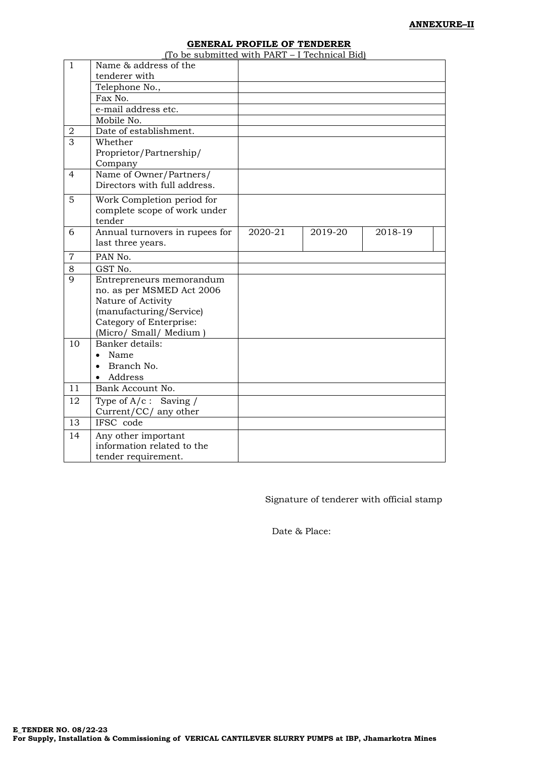## **GENERAL PROFILE OF TENDERER**

|                | General I Rombe of Temperer<br>(To be submitted with PART - I Technical Bid) |         |         |         |  |
|----------------|------------------------------------------------------------------------------|---------|---------|---------|--|
| $\mathbf{1}$   | Name & address of the                                                        |         |         |         |  |
|                | tenderer with                                                                |         |         |         |  |
|                | Telephone No.,                                                               |         |         |         |  |
|                | Fax No.                                                                      |         |         |         |  |
|                | e-mail address etc.                                                          |         |         |         |  |
|                | Mobile No.                                                                   |         |         |         |  |
| $\overline{2}$ | Date of establishment.                                                       |         |         |         |  |
| 3              | Whether                                                                      |         |         |         |  |
|                | Proprietor/Partnership/                                                      |         |         |         |  |
|                | Company                                                                      |         |         |         |  |
| $\overline{4}$ | Name of Owner/Partners/                                                      |         |         |         |  |
|                | Directors with full address.                                                 |         |         |         |  |
| 5              | Work Completion period for                                                   |         |         |         |  |
|                | complete scope of work under                                                 |         |         |         |  |
|                | tender                                                                       |         |         |         |  |
| 6              | Annual turnovers in rupees for                                               | 2020-21 | 2019-20 | 2018-19 |  |
|                | last three years.                                                            |         |         |         |  |
| $\overline{7}$ | PAN No.                                                                      |         |         |         |  |
| 8              | GST No.                                                                      |         |         |         |  |
| 9              | Entrepreneurs memorandum                                                     |         |         |         |  |
|                | no. as per MSMED Act 2006                                                    |         |         |         |  |
|                | Nature of Activity                                                           |         |         |         |  |
|                | (manufacturing/Service)                                                      |         |         |         |  |
|                | Category of Enterprise:                                                      |         |         |         |  |
|                | (Micro/ Small/ Medium)                                                       |         |         |         |  |
| 10             | Banker details:                                                              |         |         |         |  |
|                | Name<br>$\bullet$                                                            |         |         |         |  |
|                | Branch No.                                                                   |         |         |         |  |
|                | Address                                                                      |         |         |         |  |
| 11             | Bank Account No.                                                             |         |         |         |  |
| 12             | Type of $A/c$ : Saving /                                                     |         |         |         |  |
|                | Current/CC/ any other                                                        |         |         |         |  |
| 13             | IFSC code                                                                    |         |         |         |  |
| 14             | Any other important                                                          |         |         |         |  |
|                | information related to the                                                   |         |         |         |  |
|                | tender requirement.                                                          |         |         |         |  |

Signature of tenderer with official stamp

Date & Place: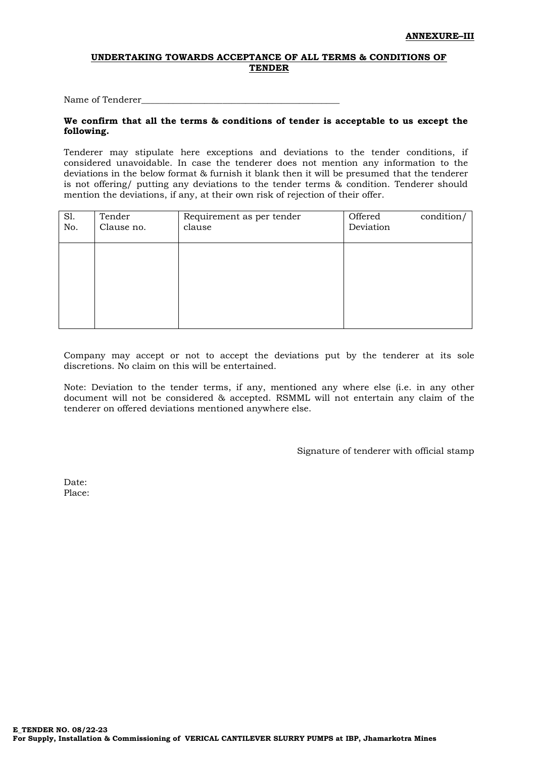### **UNDERTAKING TOWARDS ACCEPTANCE OF ALL TERMS & CONDITIONS OF TENDER**

Name of Tenderer

#### **We confirm that all the terms & conditions of tender is acceptable to us except the following.**

Tenderer may stipulate here exceptions and deviations to the tender conditions, if considered unavoidable. In case the tenderer does not mention any information to the deviations in the below format & furnish it blank then it will be presumed that the tenderer is not offering/ putting any deviations to the tender terms & condition. Tenderer should mention the deviations, if any, at their own risk of rejection of their offer.

| SI.<br>No. | Tender<br>Clause no. | Requirement as per tender<br>clause | Offered<br>Deviation | condition/ |
|------------|----------------------|-------------------------------------|----------------------|------------|
|            |                      |                                     |                      |            |
|            |                      |                                     |                      |            |
|            |                      |                                     |                      |            |

Company may accept or not to accept the deviations put by the tenderer at its sole discretions. No claim on this will be entertained.

Note: Deviation to the tender terms, if any, mentioned any where else (i.e. in any other document will not be considered & accepted. RSMML will not entertain any claim of the tenderer on offered deviations mentioned anywhere else.

Signature of tenderer with official stamp

Date: Place: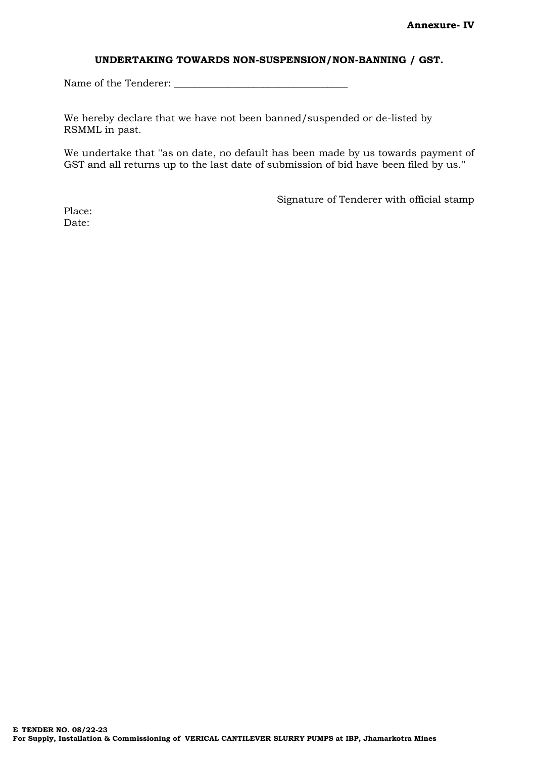## **UNDERTAKING TOWARDS NON-SUSPENSION/NON-BANNING / GST.**

Name of the Tenderer: \_\_\_\_\_\_\_\_\_\_\_\_\_\_\_\_\_\_\_\_\_\_\_\_\_\_\_\_\_\_\_\_\_\_\_

We hereby declare that we have not been banned/suspended or de-listed by RSMML in past.

We undertake that ''as on date, no default has been made by us towards payment of GST and all returns up to the last date of submission of bid have been filed by us.''

Signature of Tenderer with official stamp

Place: Date: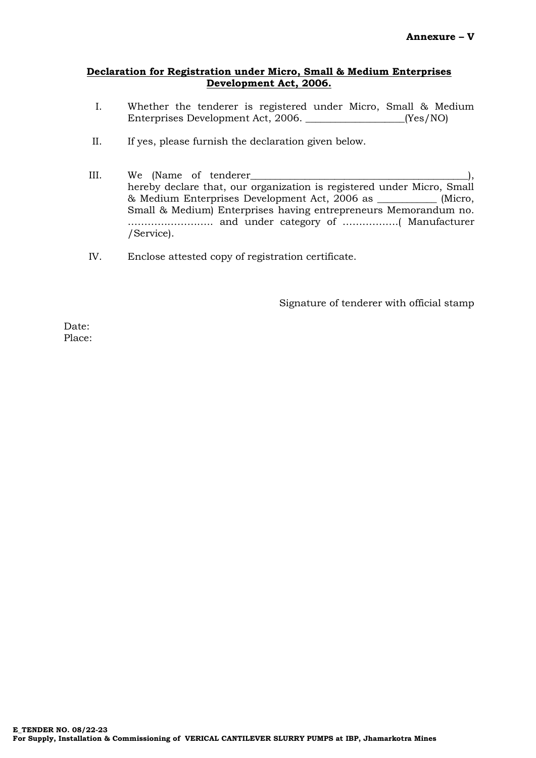## **Declaration for Registration under Micro, Small & Medium Enterprises Development Act, 2006.**

- I. Whether the tenderer is registered under Micro, Small & Medium Enterprises Development Act, 2006. \_\_\_\_\_\_\_\_\_\_\_\_\_\_\_\_\_\_\_\_(Yes/NO)
- II. If yes, please furnish the declaration given below.
- III. We (Name of tenderer\_\_\_\_\_\_\_\_\_\_\_\_\_\_\_\_\_\_\_\_\_\_\_\_\_\_\_\_\_\_\_\_\_\_\_\_\_\_\_\_\_\_\_\_), hereby declare that, our organization is registered under Micro, Small & Medium Enterprises Development Act, 2006 as \_\_\_\_\_\_\_\_\_\_\_\_ (Micro, Small & Medium) Enterprises having entrepreneurs Memorandum no. …………………….. and under category of ………….….( Manufacturer /Service).
- IV. Enclose attested copy of registration certificate.

Signature of tenderer with official stamp

Date: Place: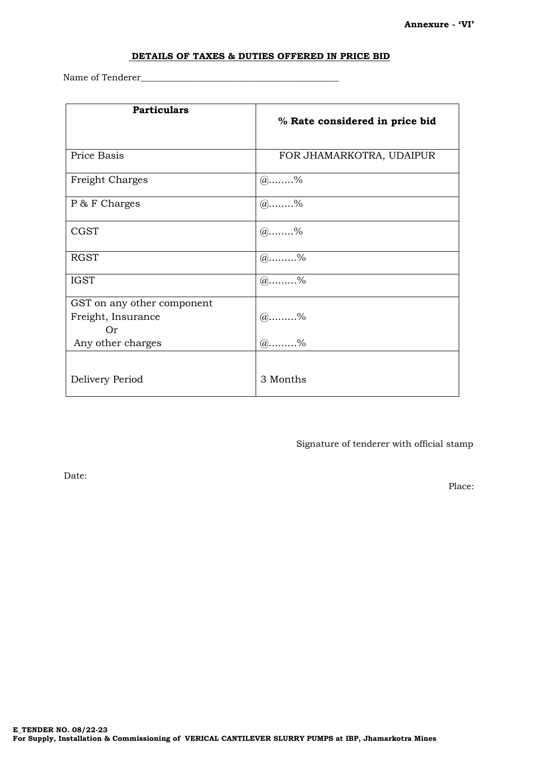#### **DETAILS OF TAXES & DUTIES OFFERED IN PRICE BID**

Name of Tenderer

| <b>Particulars</b>         | % Rate considered in price bid |
|----------------------------|--------------------------------|
| Price Basis                | FOR JHAMARKOTRA, UDAIPUR       |
| Freight Charges            | $(a)$ %                        |
| P & F Charges              | $(a)$ %                        |
| <b>CGST</b>                | $(a)$ %                        |
| <b>RGST</b>                | $@ \dots 96$                   |
| <b>IGST</b>                | $(a)$ %                        |
| GST on any other component |                                |
| Freight, Insurance         | $(a)$ %                        |
| Or                         |                                |
| Any other charges          | $(a)$ %                        |
|                            |                                |
| Delivery Period            | 3 Months                       |

Signature of tenderer with official stamp

Date:

Place: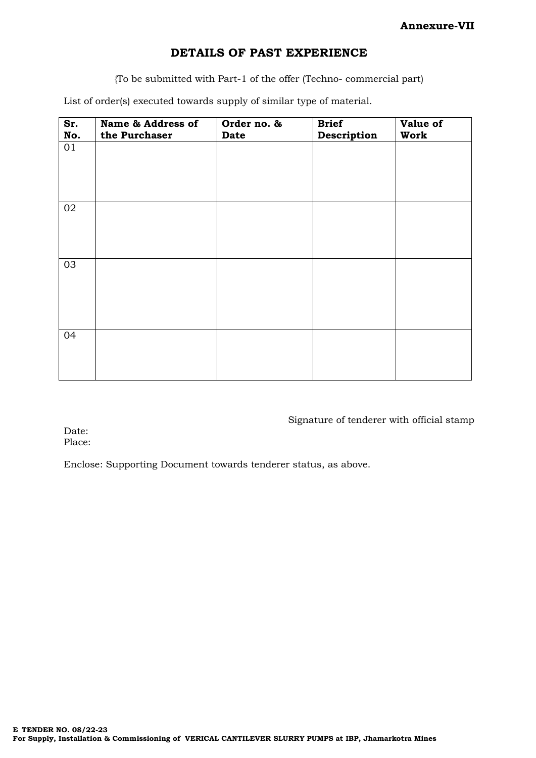## **DETAILS OF PAST EXPERIENCE**

{To be submitted with Part-1 of the offer (Techno- commercial part)

List of order(s) executed towards supply of similar type of material.

| Sr. | Name & Address of | Order no. & | <b>Brief</b> | Value of |
|-----|-------------------|-------------|--------------|----------|
| No. | the Purchaser     | <b>Date</b> | Description  | Work     |
| 01  |                   |             |              |          |
| 02  |                   |             |              |          |
| 03  |                   |             |              |          |
| 04  |                   |             |              |          |

Signature of tenderer with official stamp

Date: Place:

Enclose: Supporting Document towards tenderer status, as above.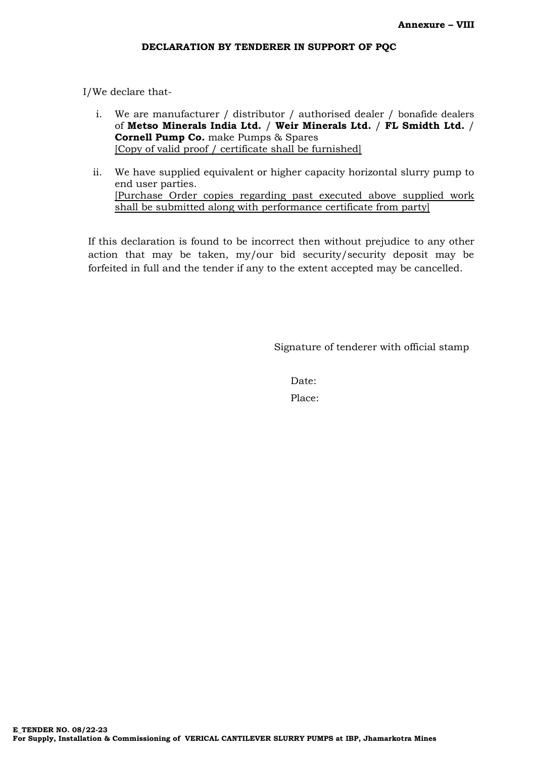I/We declare that-

- i. We are manufacturer / distributor / authorised dealer / bonafide dealers of **Metso Minerals India Ltd.** / **Weir Minerals Ltd.** / **FL Smidth Ltd.** / **Cornell Pump Co.** make Pumps & Spares [Copy of valid proof / certificate shall be furnished]
- ii. We have supplied equivalent or higher capacity horizontal slurry pump to end user parties. [Purchase Order copies regarding past executed above supplied work shall be submitted along with performance certificate from party]

If this declaration is found to be incorrect then without prejudice to any other action that may be taken, my/our bid security/security deposit may be forfeited in full and the tender if any to the extent accepted may be cancelled.

Signature of tenderer with official stamp

Date: Place: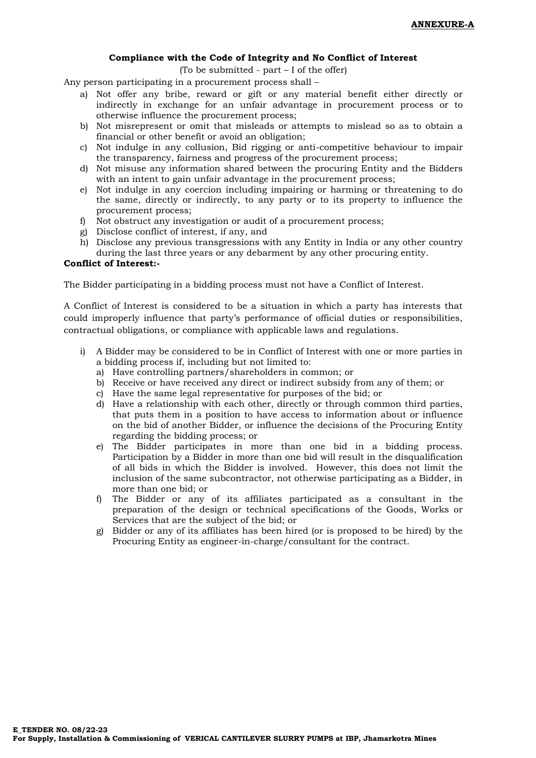#### **Compliance with the Code of Integrity and No Conflict of Interest**

(To be submitted - part – I of the offer)

Any person participating in a procurement process shall –

- a) Not offer any bribe, reward or gift or any material benefit either directly or indirectly in exchange for an unfair advantage in procurement process or to otherwise influence the procurement process;
- b) Not misrepresent or omit that misleads or attempts to mislead so as to obtain a financial or other benefit or avoid an obligation;
- c) Not indulge in any collusion, Bid rigging or anti-competitive behaviour to impair the transparency, fairness and progress of the procurement process;
- d) Not misuse any information shared between the procuring Entity and the Bidders with an intent to gain unfair advantage in the procurement process;
- e) Not indulge in any coercion including impairing or harming or threatening to do the same, directly or indirectly, to any party or to its property to influence the procurement process;
- f) Not obstruct any investigation or audit of a procurement process;
- g) Disclose conflict of interest, if any, and
- h) Disclose any previous transgressions with any Entity in India or any other country
- during the last three years or any debarment by any other procuring entity.

#### **Conflict of Interest:-**

The Bidder participating in a bidding process must not have a Conflict of Interest.

A Conflict of Interest is considered to be a situation in which a party has interests that could improperly influence that party's performance of official duties or responsibilities, contractual obligations, or compliance with applicable laws and regulations.

- i) A Bidder may be considered to be in Conflict of Interest with one or more parties in a bidding process if, including but not limited to:
	- a) Have controlling partners/shareholders in common; or
	- b) Receive or have received any direct or indirect subsidy from any of them; or
	- c) Have the same legal representative for purposes of the bid; or
	- d) Have a relationship with each other, directly or through common third parties, that puts them in a position to have access to information about or influence on the bid of another Bidder, or influence the decisions of the Procuring Entity regarding the bidding process; or
	- e) The Bidder participates in more than one bid in a bidding process. Participation by a Bidder in more than one bid will result in the disqualification of all bids in which the Bidder is involved. However, this does not limit the inclusion of the same subcontractor, not otherwise participating as a Bidder, in more than one bid; or
	- f) The Bidder or any of its affiliates participated as a consultant in the preparation of the design or technical specifications of the Goods, Works or Services that are the subject of the bid; or
	- g) Bidder or any of its affiliates has been hired (or is proposed to be hired) by the Procuring Entity as engineer-in-charge/consultant for the contract.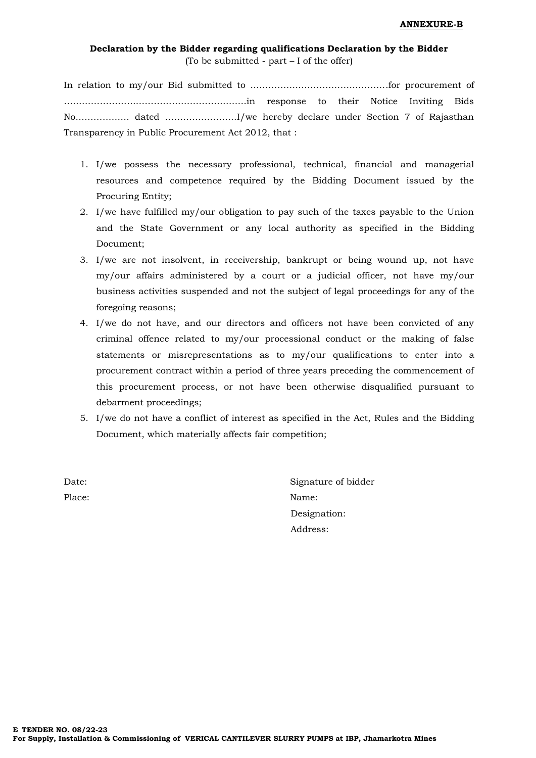## **Declaration by the Bidder regarding qualifications Declaration by the Bidder** (To be submitted - part – I of the offer)

In relation to my/our Bid submitted to ……………………………………….for procurement of …………………………………………………….in response to their Notice Inviting Bids No……………… dated ……………………I/we hereby declare under Section 7 of Rajasthan Transparency in Public Procurement Act 2012, that :

- 1. I/we possess the necessary professional, technical, financial and managerial resources and competence required by the Bidding Document issued by the Procuring Entity;
- 2. I/we have fulfilled my/our obligation to pay such of the taxes payable to the Union and the State Government or any local authority as specified in the Bidding Document;
- 3. I/we are not insolvent, in receivership, bankrupt or being wound up, not have my/our affairs administered by a court or a judicial officer, not have my/our business activities suspended and not the subject of legal proceedings for any of the foregoing reasons;
- 4. I/we do not have, and our directors and officers not have been convicted of any criminal offence related to my/our processional conduct or the making of false statements or misrepresentations as to my/our qualifications to enter into a procurement contract within a period of three years preceding the commencement of this procurement process, or not have been otherwise disqualified pursuant to debarment proceedings;
- 5. I/we do not have a conflict of interest as specified in the Act, Rules and the Bidding Document, which materially affects fair competition;

Date: Signature of bidder Place: Name: Designation: Address: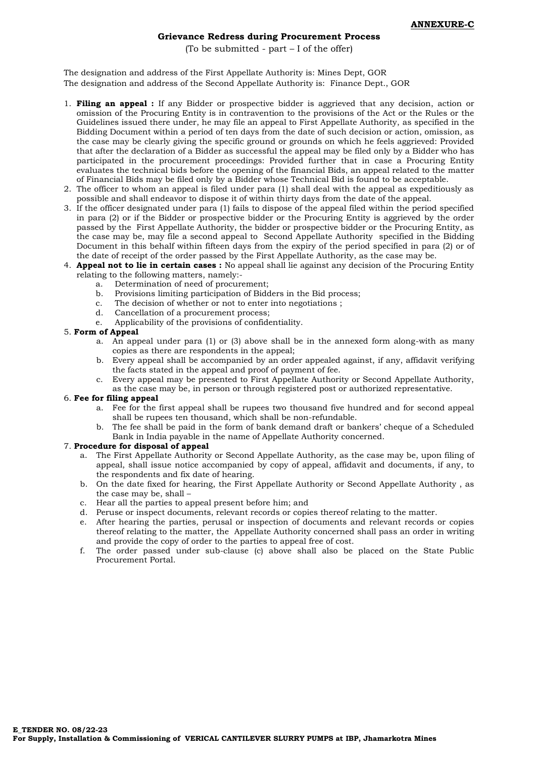#### **Grievance Redress during Procurement Process**

(To be submitted - part – I of the offer)

The designation and address of the First Appellate Authority is: Mines Dept, GOR The designation and address of the Second Appellate Authority is: Finance Dept., GOR

- 1. **Filing an appeal :** If any Bidder or prospective bidder is aggrieved that any decision, action or omission of the Procuring Entity is in contravention to the provisions of the Act or the Rules or the Guidelines issued there under, he may file an appeal to First Appellate Authority, as specified in the Bidding Document within a period of ten days from the date of such decision or action, omission, as the case may be clearly giving the specific ground or grounds on which he feels aggrieved: Provided that after the declaration of a Bidder as successful the appeal may be filed only by a Bidder who has participated in the procurement proceedings: Provided further that in case a Procuring Entity evaluates the technical bids before the opening of the financial Bids, an appeal related to the matter of Financial Bids may be filed only by a Bidder whose Technical Bid is found to be acceptable.
- 2. The officer to whom an appeal is filed under para (1) shall deal with the appeal as expeditiously as possible and shall endeavor to dispose it of within thirty days from the date of the appeal.
- 3. If the officer designated under para (1) fails to dispose of the appeal filed within the period specified in para (2) or if the Bidder or prospective bidder or the Procuring Entity is aggrieved by the order passed by the First Appellate Authority, the bidder or prospective bidder or the Procuring Entity, as the case may be, may file a second appeal to Second Appellate Authority specified in the Bidding Document in this behalf within fifteen days from the expiry of the period specified in para (2) or of the date of receipt of the order passed by the First Appellate Authority, as the case may be.
- 4. **Appeal not to lie in certain cases :** No appeal shall lie against any decision of the Procuring Entity relating to the following matters, namely:
	- a. Determination of need of procurement;<br>b. Provisions limiting participation of Bidd
	- b. Provisions limiting participation of Bidders in the Bid process;
	- c. The decision of whether or not to enter into negotiations ;
	- Cancellation of a procurement process;
	- e. Applicability of the provisions of confidentiality.

#### 5. **Form of Appeal**

- a. An appeal under para (1) or (3) above shall be in the annexed form along-with as many copies as there are respondents in the appeal;
- b. Every appeal shall be accompanied by an order appealed against, if any, affidavit verifying the facts stated in the appeal and proof of payment of fee.
- c. Every appeal may be presented to First Appellate Authority or Second Appellate Authority, as the case may be, in person or through registered post or authorized representative.

## 6. **Fee for filing appeal**

- a. Fee for the first appeal shall be rupees two thousand five hundred and for second appeal shall be rupees ten thousand, which shall be non-refundable.
- b. The fee shall be paid in the form of bank demand draft or bankers' cheque of a Scheduled Bank in India payable in the name of Appellate Authority concerned.

#### 7. **Procedure for disposal of appeal**

- a. The First Appellate Authority or Second Appellate Authority, as the case may be, upon filing of appeal, shall issue notice accompanied by copy of appeal, affidavit and documents, if any, to the respondents and fix date of hearing.
- b. On the date fixed for hearing, the First Appellate Authority or Second Appellate Authority , as the case may be, shall –
- c. Hear all the parties to appeal present before him; and
- d. Peruse or inspect documents, relevant records or copies thereof relating to the matter.
- e. After hearing the parties, perusal or inspection of documents and relevant records or copies thereof relating to the matter, the Appellate Authority concerned shall pass an order in writing and provide the copy of order to the parties to appeal free of cost.
- f. The order passed under sub-clause (c) above shall also be placed on the State Public Procurement Portal.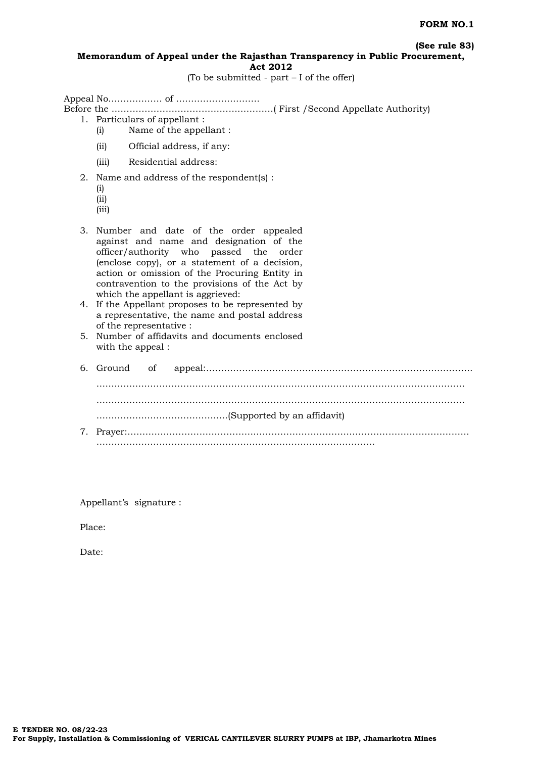**(See rule 83)**

#### **Memorandum of Appeal under the Rajasthan Transparency in Public Procurement, Act 2012**

(To be submitted - part – I of the offer)

Appeal No……………… of ………………………. Before the ………………………………………………( First /Second Appellate Authority) 1. Particulars of appellant : (i) Name of the appellant : (ii) Official address, if any: (iii) Residential address: 2. Name and address of the respondent(s) : (i) (ii) (iii) 3. Number and date of the order appealed against and name and designation of the officer/authority who passed the order (enclose copy), or a statement of a decision, action or omission of the Procuring Entity in contravention to the provisions of the Act by which the appellant is aggrieved: 4. If the Appellant proposes to be represented by a representative, the name and postal address of the representative : 5. Number of affidavits and documents enclosed with the appeal : 6. Ground of appeal:……………………………………………………………………………..

…………………………………………………………………………………………………………… …………………………………………………………………………………………………………… ……………………………………..(Supported by an affidavit) 7. Prayer:…………………………………………………………………………………………………… …………………………………………………………………………………

Appellant's signature :

Place:

Date: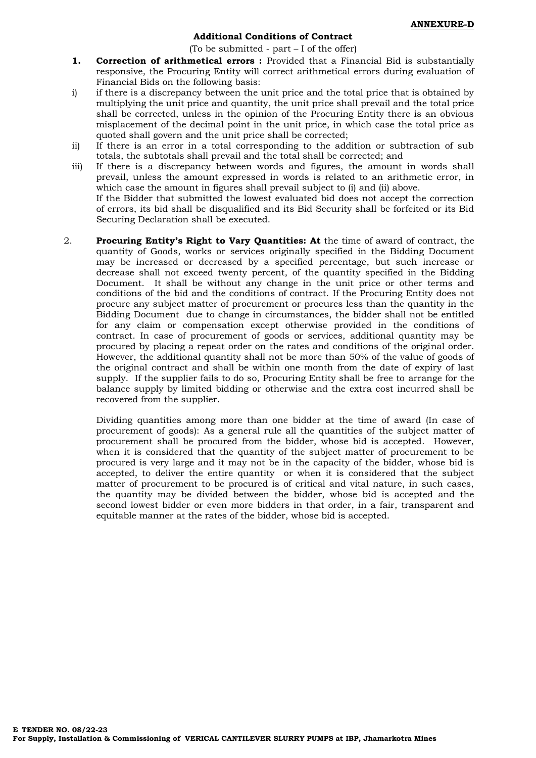#### **Additional Conditions of Contract**

(To be submitted - part – I of the offer)

- 1. **Correction of arithmetical errors :** Provided that a Financial Bid is substantially responsive, the Procuring Entity will correct arithmetical errors during evaluation of Financial Bids on the following basis:
- i) if there is a discrepancy between the unit price and the total price that is obtained by multiplying the unit price and quantity, the unit price shall prevail and the total price shall be corrected, unless in the opinion of the Procuring Entity there is an obvious misplacement of the decimal point in the unit price, in which case the total price as quoted shall govern and the unit price shall be corrected;
- ii) If there is an error in a total corresponding to the addition or subtraction of sub totals, the subtotals shall prevail and the total shall be corrected; and
- iii) If there is a discrepancy between words and figures, the amount in words shall prevail, unless the amount expressed in words is related to an arithmetic error, in which case the amount in figures shall prevail subject to (i) and (ii) above. If the Bidder that submitted the lowest evaluated bid does not accept the correction of errors, its bid shall be disqualified and its Bid Security shall be forfeited or its Bid

Securing Declaration shall be executed.

2. **Procuring Entity's Right to Vary Quantities: At** the time of award of contract, the quantity of Goods, works or services originally specified in the Bidding Document may be increased or decreased by a specified percentage, but such increase or decrease shall not exceed twenty percent, of the quantity specified in the Bidding Document. It shall be without any change in the unit price or other terms and conditions of the bid and the conditions of contract. If the Procuring Entity does not procure any subject matter of procurement or procures less than the quantity in the Bidding Document due to change in circumstances, the bidder shall not be entitled for any claim or compensation except otherwise provided in the conditions of contract. In case of procurement of goods or services, additional quantity may be procured by placing a repeat order on the rates and conditions of the original order. However, the additional quantity shall not be more than 50% of the value of goods of the original contract and shall be within one month from the date of expiry of last supply. If the supplier fails to do so, Procuring Entity shall be free to arrange for the balance supply by limited bidding or otherwise and the extra cost incurred shall be recovered from the supplier.

Dividing quantities among more than one bidder at the time of award (In case of procurement of goods): As a general rule all the quantities of the subject matter of procurement shall be procured from the bidder, whose bid is accepted. However, when it is considered that the quantity of the subject matter of procurement to be procured is very large and it may not be in the capacity of the bidder, whose bid is accepted, to deliver the entire quantity or when it is considered that the subject matter of procurement to be procured is of critical and vital nature, in such cases, the quantity may be divided between the bidder, whose bid is accepted and the second lowest bidder or even more bidders in that order, in a fair, transparent and equitable manner at the rates of the bidder, whose bid is accepted.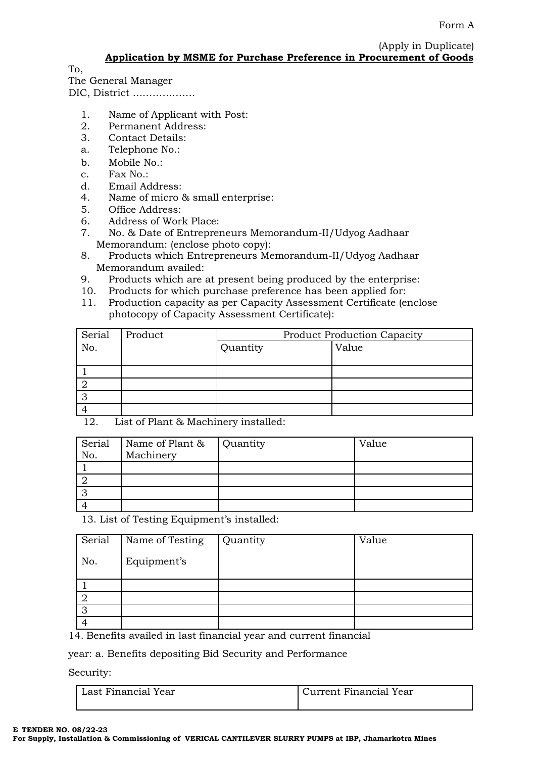(Apply in Duplicate) **Application by MSME for Purchase Preference in Procurement of Goods**

To,

The General Manager DIC, District ……………….

- 1. Name of Applicant with Post:
- 2. Permanent Address:
- 3. Contact Details:
- a. Telephone No.:
- b. Mobile No.:
- c. Fax No.:
- d. Email Address:
- 4. Name of micro & small enterprise:
- 5. Office Address:
- 6. Address of Work Place:
- 7. No. & Date of Entrepreneurs Memorandum-II/Udyog Aadhaar Memorandum: (enclose photo copy):
- 8. Products which Entrepreneurs Memorandum-II/Udyog Aadhaar Memorandum availed:
- 9. Products which are at present being produced by the enterprise:
- 10. Products for which purchase preference has been applied for:
- 11. Production capacity as per Capacity Assessment Certificate (enclose photocopy of Capacity Assessment Certificate):

| Serial | Product | <b>Product Production Capacity</b> |       |
|--------|---------|------------------------------------|-------|
| No.    |         | Quantity                           | Value |
|        |         |                                    |       |
|        |         |                                    |       |
|        |         |                                    |       |
|        |         |                                    |       |
|        |         |                                    |       |

12. List of Plant & Machinery installed:

| Serial<br>No. | Name of Plant & Quantity<br>Machinery | Value |
|---------------|---------------------------------------|-------|
|               |                                       |       |
|               |                                       |       |
|               |                                       |       |
|               |                                       |       |

13. List of Testing Equipment's installed:

| Serial | Name of Testing | Quantity | Value |
|--------|-----------------|----------|-------|
| No.    | Equipment's     |          |       |
|        |                 |          |       |
|        |                 |          |       |
| 3      |                 |          |       |
|        |                 |          |       |

14. Benefits availed in last financial year and current financial

year: a. Benefits depositing Bid Security and Performance

Security:

| Last Financial Year | Current Financial Year |  |  |
|---------------------|------------------------|--|--|
|                     |                        |  |  |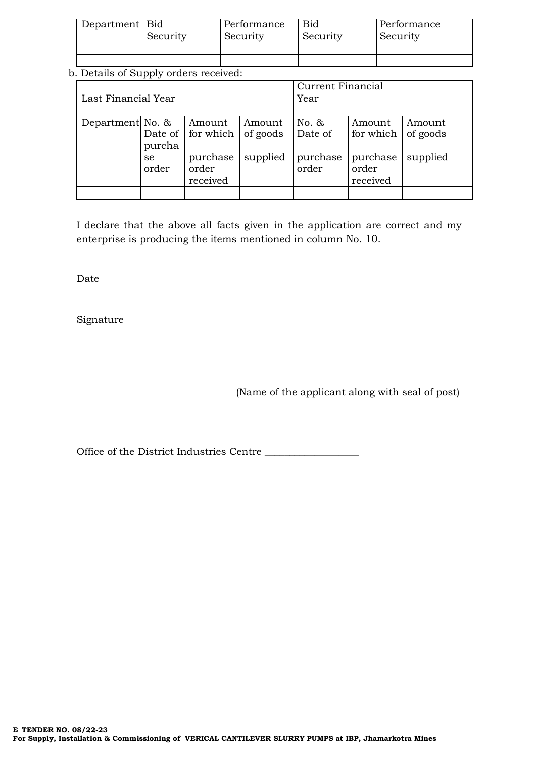| Department Bid | Security | Performance<br>Security | Bid<br>Security | Performance<br>Security |
|----------------|----------|-------------------------|-----------------|-------------------------|
|                |          |                         |                 |                         |

## b. Details of Supply orders received:

| Last Financial Year |                                  |                                                                              | Current Financial<br>Year      |                                          |                                                      |                                |
|---------------------|----------------------------------|------------------------------------------------------------------------------|--------------------------------|------------------------------------------|------------------------------------------------------|--------------------------------|
| Department No. &    | purcha<br><sub>se</sub><br>order | Amount<br>Date of $\vert$ for which $\vert$<br>purchase<br>order<br>received | Amount<br>of goods<br>supplied | No. $\&$<br>Date of<br>purchase<br>order | Amount<br>for which<br>purchase<br>order<br>received | Amount<br>of goods<br>supplied |
|                     |                                  |                                                                              |                                |                                          |                                                      |                                |

I declare that the above all facts given in the application are correct and my enterprise is producing the items mentioned in column No. 10.

Date

Signature

(Name of the applicant along with seal of post)

Office of the District Industries Centre \_\_\_\_\_\_\_\_\_\_\_\_\_\_\_\_\_\_\_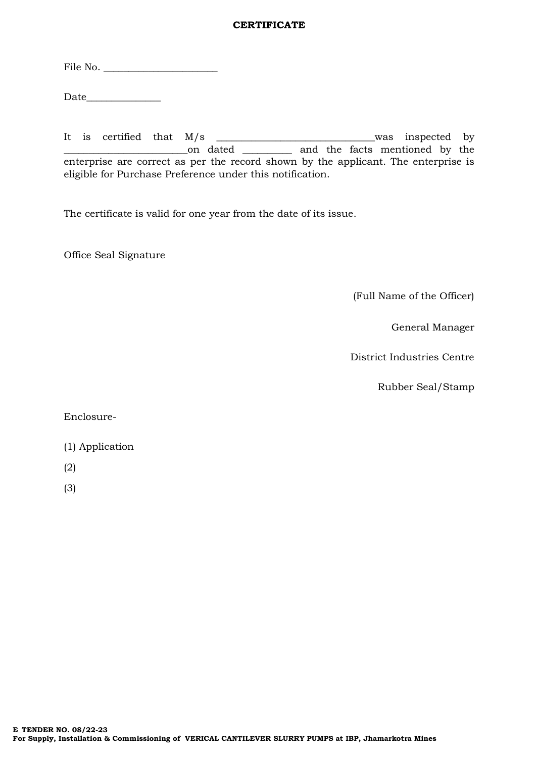## **CERTIFICATE**

File No. \_\_\_\_\_\_\_\_\_\_\_\_\_\_\_\_\_\_\_\_\_\_\_

Date  $\qquad \qquad$ 

It is certified that M/s \_\_\_\_\_\_\_\_\_\_\_\_\_\_\_\_\_\_\_\_\_\_\_\_\_\_\_\_\_\_\_\_was inspected by \_\_\_\_\_\_\_\_\_\_\_\_\_\_\_\_\_\_\_\_\_\_\_\_\_on dated \_\_\_\_\_\_\_\_\_\_ and the facts mentioned by the enterprise are correct as per the record shown by the applicant. The enterprise is eligible for Purchase Preference under this notification.

The certificate is valid for one year from the date of its issue.

Office Seal Signature

(Full Name of the Officer)

General Manager

District Industries Centre

Rubber Seal/Stamp

Enclosure-

- (1) Application
- (2)
- (3)